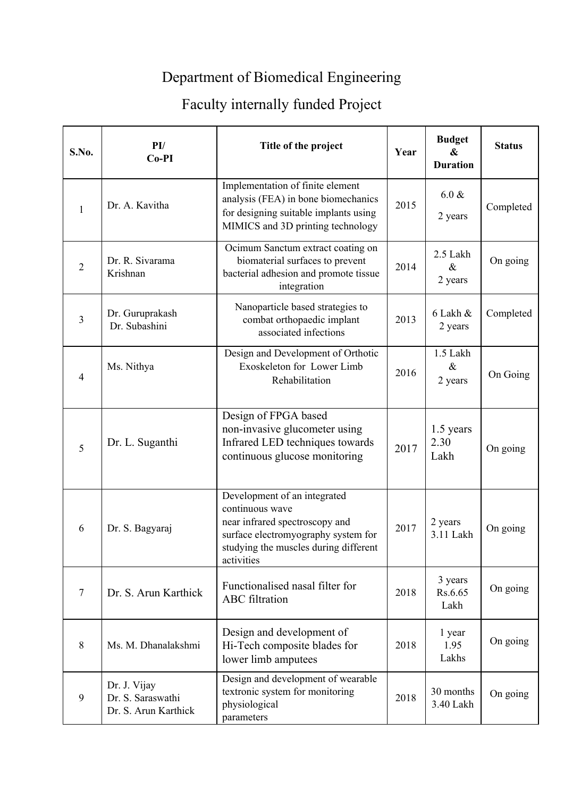## Department of Biomedical Engineering

## Faculty internally funded Project

| S.No.          | PI/<br>$Co-PI$                                            | Title of the project                                                                                                                                                            | Year | <b>Budget</b><br>$\boldsymbol{\&}$<br><b>Duration</b> | <b>Status</b> |
|----------------|-----------------------------------------------------------|---------------------------------------------------------------------------------------------------------------------------------------------------------------------------------|------|-------------------------------------------------------|---------------|
| 1              | Dr. A. Kavitha                                            | Implementation of finite element<br>analysis (FEA) in bone biomechanics<br>for designing suitable implants using<br>MIMICS and 3D printing technology                           | 2015 | $6.0 \&$<br>2 years                                   | Completed     |
| $\overline{2}$ | Dr. R. Sivarama<br>Krishnan                               | Ocimum Sanctum extract coating on<br>biomaterial surfaces to prevent<br>bacterial adhesion and promote tissue<br>integration                                                    | 2014 | 2.5 Lakh<br>$\&$<br>2 years                           | On going      |
| $\overline{3}$ | Dr. Guruprakash<br>Dr. Subashini                          | Nanoparticle based strategies to<br>combat orthopaedic implant<br>associated infections                                                                                         | 2013 | 6 Lakh &<br>2 years                                   | Completed     |
| $\overline{4}$ | Ms. Nithya                                                | Design and Development of Orthotic<br>Exoskeleton for Lower Limb<br>Rehabilitation                                                                                              | 2016 | 1.5 Lakh<br>$\&$<br>2 years                           | On Going      |
| 5              | Dr. L. Suganthi                                           | Design of FPGA based<br>non-invasive glucometer using<br>Infrared LED techniques towards<br>continuous glucose monitoring                                                       | 2017 | 1.5 years<br>2.30<br>Lakh                             | On going      |
| 6              | Dr. S. Bagyaraj                                           | Development of an integrated<br>continuous wave<br>near infrared spectroscopy and<br>surface electromyography system for<br>studying the muscles during different<br>activities | 2017 | 2 years<br>3.11 Lakh                                  | On going      |
| 7              | Dr. S. Arun Karthick                                      | Functionalised nasal filter for<br><b>ABC</b> filtration                                                                                                                        | 2018 | 3 years<br>Rs.6.65<br>Lakh                            | On going      |
| 8              | Ms. M. Dhanalakshmi                                       | Design and development of<br>Hi-Tech composite blades for<br>lower limb amputees                                                                                                | 2018 | 1 year<br>1.95<br>Lakhs                               | On going      |
| 9              | Dr. J. Vijay<br>Dr. S. Saraswathi<br>Dr. S. Arun Karthick | Design and development of wearable<br>textronic system for monitoring<br>physiological<br>parameters                                                                            | 2018 | 30 months<br>3.40 Lakh                                | On going      |